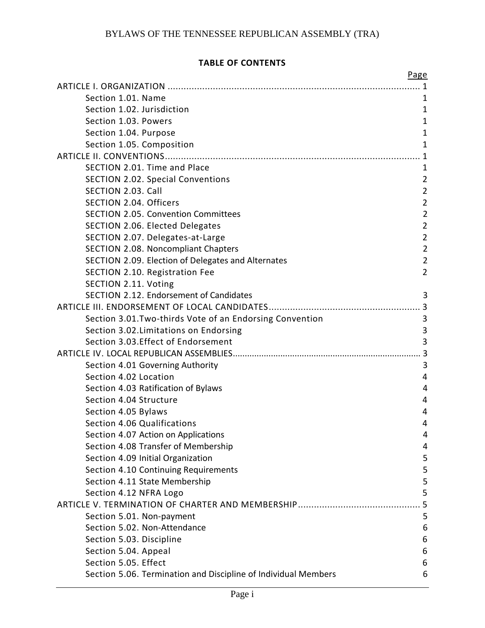## **TABLE OF CONTENTS**

| Page                                                           |                |
|----------------------------------------------------------------|----------------|
|                                                                |                |
| Section 1.01. Name                                             | 1              |
| Section 1.02. Jurisdiction                                     | 1              |
| Section 1.03. Powers                                           | $\mathbf{1}$   |
| Section 1.04. Purpose                                          | $\mathbf{1}$   |
| Section 1.05. Composition                                      | $\mathbf{1}$   |
|                                                                | 1              |
| SECTION 2.01. Time and Place                                   | $\mathbf{1}$   |
| <b>SECTION 2.02. Special Conventions</b>                       | $\overline{2}$ |
| SECTION 2.03. Call                                             | $\overline{2}$ |
| SECTION 2.04. Officers                                         | $\overline{2}$ |
| <b>SECTION 2.05. Convention Committees</b>                     | $\overline{2}$ |
| SECTION 2.06. Elected Delegates                                | $\overline{2}$ |
| SECTION 2.07. Delegates-at-Large                               | $\overline{2}$ |
| SECTION 2.08. Noncompliant Chapters                            | $\overline{2}$ |
| SECTION 2.09. Election of Delegates and Alternates             | $\overline{2}$ |
| SECTION 2.10. Registration Fee                                 | $\overline{2}$ |
| SECTION 2.11. Voting                                           |                |
| SECTION 2.12. Endorsement of Candidates                        | 3              |
|                                                                |                |
| Section 3.01. Two-thirds Vote of an Endorsing Convention       | 3              |
| Section 3.02. Limitations on Endorsing                         | 3              |
| Section 3.03. Effect of Endorsement                            | 3              |
|                                                                |                |
| Section 4.01 Governing Authority                               | 3              |
| Section 4.02 Location                                          | 4              |
| Section 4.03 Ratification of Bylaws                            | 4              |
| Section 4.04 Structure                                         | 4              |
| Section 4.05 Bylaws                                            | 4              |
| Section 4.06 Qualifications                                    | 4              |
| Section 4.07 Action on Applications                            | 4              |
| Section 4.08 Transfer of Membership                            | 4              |
| Section 4.09 Initial Organization                              | 5              |
| Section 4.10 Continuing Requirements                           | 5              |
| Section 4.11 State Membership                                  | 5              |
| Section 4.12 NFRA Logo                                         | 5              |
|                                                                | 5              |
| Section 5.01. Non-payment                                      | 5              |
| Section 5.02. Non-Attendance                                   | 6              |
| Section 5.03. Discipline                                       | 6              |
| Section 5.04. Appeal                                           | 6              |
| Section 5.05. Effect                                           | 6              |
| Section 5.06. Termination and Discipline of Individual Members | 6              |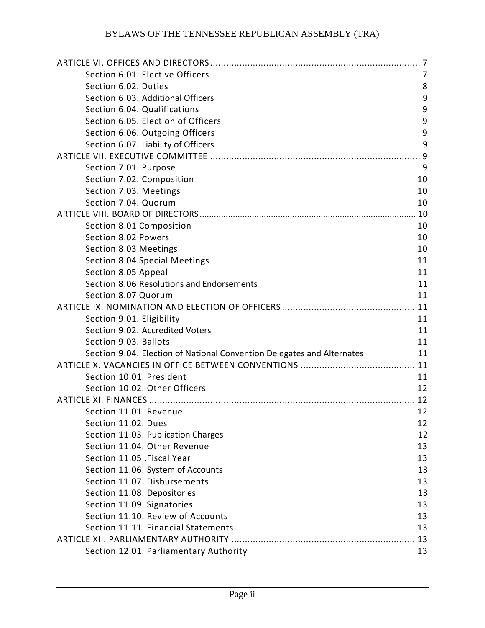| Section 6.01. Elective Officers                                        | 7    |
|------------------------------------------------------------------------|------|
| Section 6.02. Duties                                                   | 8    |
| Section 6.03. Additional Officers                                      | 9    |
| Section 6.04. Qualifications                                           | 9    |
| Section 6.05. Election of Officers                                     | 9    |
| Section 6.06. Outgoing Officers                                        | 9    |
| Section 6.07. Liability of Officers                                    | 9    |
|                                                                        | 9    |
| Section 7.01. Purpose                                                  | 9    |
| Section 7.02. Composition                                              | 10   |
| Section 7.03. Meetings                                                 | 10   |
| Section 7.04. Quorum                                                   | 10   |
|                                                                        | . 10 |
| Section 8.01 Composition                                               | 10   |
| Section 8.02 Powers                                                    | 10   |
| Section 8.03 Meetings                                                  | 10   |
| Section 8.04 Special Meetings                                          | 11   |
| Section 8.05 Appeal                                                    | 11   |
| Section 8.06 Resolutions and Endorsements                              | 11   |
| Section 8.07 Quorum                                                    | 11   |
|                                                                        |      |
| Section 9.01. Eligibility                                              | 11   |
| Section 9.02. Accredited Voters                                        | 11   |
| Section 9.03. Ballots                                                  | 11   |
| Section 9.04. Election of National Convention Delegates and Alternates | 11   |
|                                                                        |      |
| Section 10.01. President                                               | 11   |
| Section 10.02. Other Officers                                          | 12   |
|                                                                        |      |
| Section 11.01. Revenue example and the section 11.01.                  | 12   |
| Section 11.02. Dues                                                    | 12   |
| Section 11.03. Publication Charges                                     | 12   |
| Section 11.04. Other Revenue                                           | 13   |
| Section 11.05 . Fiscal Year                                            | 13   |
| Section 11.06. System of Accounts                                      | 13   |
| Section 11.07. Disbursements                                           | 13   |
| Section 11.08. Depositories                                            | 13   |
| Section 11.09. Signatories                                             | 13   |
| Section 11.10. Review of Accounts                                      | 13   |
| Section 11.11. Financial Statements                                    | 13   |
|                                                                        | 13   |
| Section 12.01. Parliamentary Authority                                 | 13   |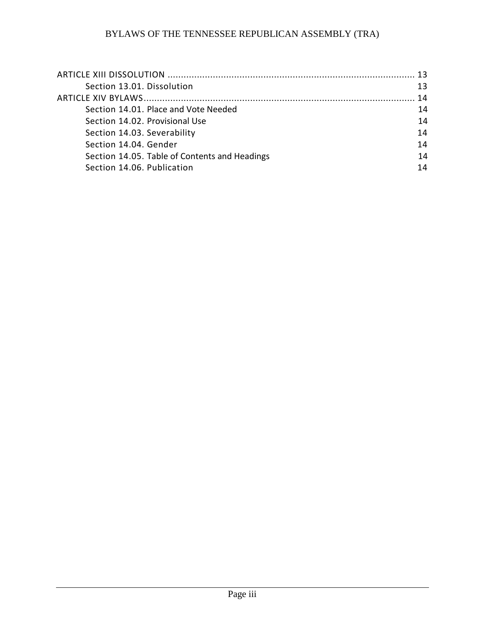| 13 |
|----|
| 13 |
| 14 |
| 14 |
| 14 |
| 14 |
| 14 |
| 14 |
| 14 |
|    |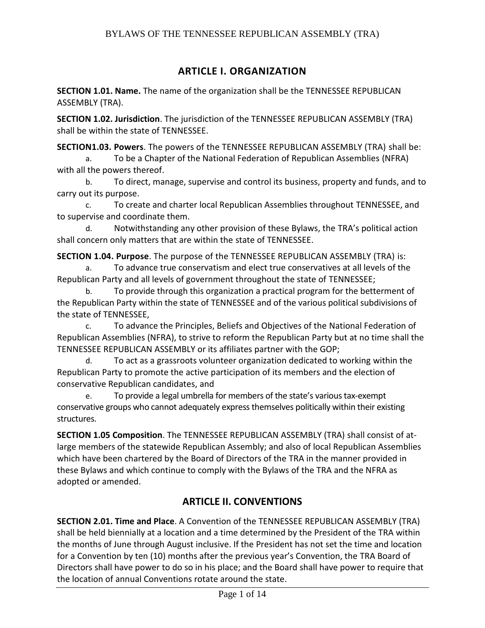### **ARTICLE I. ORGANIZATION**

**SECTION 1.01. Name.** The name of the organization shall be the TENNESSEE REPUBLICAN ASSEMBLY (TRA).

**SECTION 1.02. Jurisdiction**. The jurisdiction of the TENNESSEE REPUBLICAN ASSEMBLY (TRA) shall be within the state of TENNESSEE.

**SECTION1.03. Powers**. The powers of the TENNESSEE REPUBLICAN ASSEMBLY (TRA) shall be:

a. To be a Chapter of the National Federation of Republican Assemblies (NFRA) with all the powers thereof.

b. To direct, manage, supervise and control its business, property and funds, and to carry out its purpose.

c. To create and charter local Republican Assemblies throughout TENNESSEE, and to supervise and coordinate them.

d. Notwithstanding any other provision of these Bylaws, the TRA's political action shall concern only matters that are within the state of TENNESSEE.

**SECTION 1.04. Purpose**. The purpose of the TENNESSEE REPUBLICAN ASSEMBLY (TRA) is:

a. To advance true conservatism and elect true conservatives at all levels of the Republican Party and all levels of government throughout the state of TENNESSEE;

b. To provide through this organization a practical program for the betterment of the Republican Party within the state of TENNESSEE and of the various political subdivisions of the state of TENNESSEE,

c. To advance the Principles, Beliefs and Objectives of the National Federation of Republican Assemblies (NFRA), to strive to reform the Republican Party but at no time shall the TENNESSEE REPUBLICAN ASSEMBLY or its affiliates partner with the GOP;

d. To act as a grassroots volunteer organization dedicated to working within the Republican Party to promote the active participation of its members and the election of conservative Republican candidates, and

e. To provide a legal umbrella for members of the state's various tax-exempt conservative groups who cannot adequately express themselves politically within their existing structures.

**SECTION 1.05 Composition**. The TENNESSEE REPUBLICAN ASSEMBLY (TRA) shall consist of atlarge members of the statewide Republican Assembly; and also of local Republican Assemblies which have been chartered by the Board of Directors of the TRA in the manner provided in these Bylaws and which continue to comply with the Bylaws of the TRA and the NFRA as adopted or amended.

## **ARTICLE II. CONVENTIONS**

**SECTION 2.01. Time and Place**. A Convention of the TENNESSEE REPUBLICAN ASSEMBLY (TRA) shall be held biennially at a location and a time determined by the President of the TRA within the months of June through August inclusive. If the President has not set the time and location for a Convention by ten (10) months after the previous year's Convention, the TRA Board of Directors shall have power to do so in his place; and the Board shall have power to require that the location of annual Conventions rotate around the state.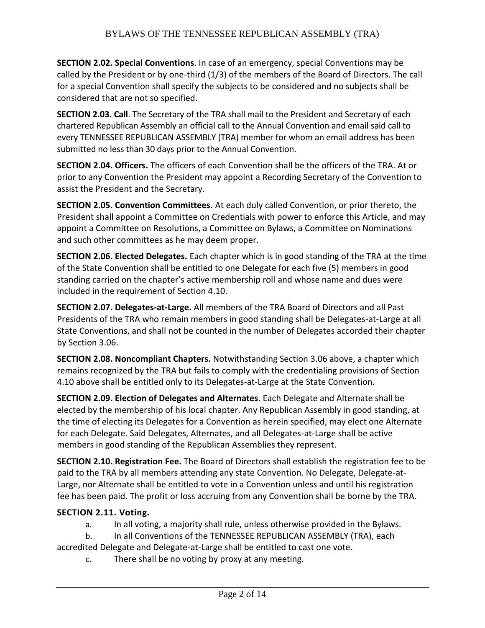**SECTION 2.02. Special Conventions**. In case of an emergency, special Conventions may be called by the President or by one-third (1/3) of the members of the Board of Directors. The call for a special Convention shall specify the subjects to be considered and no subjects shall be considered that are not so specified.

**SECTION 2.03. Call**. The Secretary of the TRA shall mail to the President and Secretary of each chartered Republican Assembly an official call to the Annual Convention and email said call to every TENNESSEE REPUBLICAN ASSEMBLY (TRA) member for whom an email address has been submitted no less than 30 days prior to the Annual Convention.

**SECTION 2.04. Officers.** The officers of each Convention shall be the officers of the TRA. At or prior to any Convention the President may appoint a Recording Secretary of the Convention to assist the President and the Secretary.

**SECTION 2.05. Convention Committees.** At each duly called Convention, or prior thereto, the President shall appoint a Committee on Credentials with power to enforce this Article, and may appoint a Committee on Resolutions, a Committee on Bylaws, a Committee on Nominations and such other committees as he may deem proper.

**SECTION 2.06. Elected Delegates.** Each chapter which is in good standing of the TRA at the time of the State Convention shall be entitled to one Delegate for each five (5) members in good standing carried on the chapter's active membership roll and whose name and dues were included in the requirement of Section 4.10.

**SECTION 2.07. Delegates-at-Large.** All members of the TRA Board of Directors and all Past Presidents of the TRA who remain members in good standing shall be Delegates-at-Large at all State Conventions, and shall not be counted in the number of Delegates accorded their chapter by Section 3.06.

**SECTION 2.08. Noncompliant Chapters.** Notwithstanding Section 3.06 above, a chapter which remains recognized by the TRA but fails to comply with the credentialing provisions of Section 4.10 above shall be entitled only to its Delegates-at-Large at the State Convention.

**SECTION 2.09. Election of Delegates and Alternates**. Each Delegate and Alternate shall be elected by the membership of his local chapter. Any Republican Assembly in good standing, at the time of electing its Delegates for a Convention as herein specified, may elect one Alternate for each Delegate. Said Delegates, Alternates, and all Delegates-at-Large shall be active members in good standing of the Republican Assemblies they represent.

**SECTION 2.10. Registration Fee.** The Board of Directors shall establish the registration fee to be paid to the TRA by all members attending any state Convention. No Delegate, Delegate-at-Large, nor Alternate shall be entitled to vote in a Convention unless and until his registration fee has been paid. The profit or loss accruing from any Convention shall be borne by the TRA.

#### **SECTION 2.11. Voting.**

- a. In all voting, a majority shall rule, unless otherwise provided in the Bylaws.
- b. In all Conventions of the TENNESSEE REPUBLICAN ASSEMBLY (TRA), each
- accredited Delegate and Delegate-at-Large shall be entitled to cast one vote.
	- c. There shall be no voting by proxy at any meeting.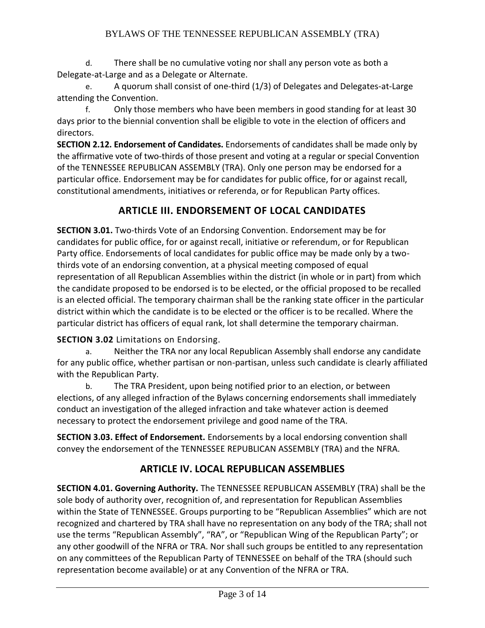d. There shall be no cumulative voting nor shall any person vote as both a Delegate-at-Large and as a Delegate or Alternate.

e. A quorum shall consist of one-third (1/3) of Delegates and Delegates-at-Large attending the Convention.

f. Only those members who have been members in good standing for at least 30 days prior to the biennial convention shall be eligible to vote in the election of officers and directors.

**SECTION 2.12. Endorsement of Candidates.** Endorsements of candidates shall be made only by the affirmative vote of two-thirds of those present and voting at a regular or special Convention of the TENNESSEE REPUBLICAN ASSEMBLY (TRA). Only one person may be endorsed for a particular office. Endorsement may be for candidates for public office, for or against recall, constitutional amendments, initiatives or referenda, or for Republican Party offices.

# **ARTICLE III. ENDORSEMENT OF LOCAL CANDIDATES**

**SECTION 3.01.** Two-thirds Vote of an Endorsing Convention. Endorsement may be for candidates for public office, for or against recall, initiative or referendum, or for Republican Party office. Endorsements of local candidates for public office may be made only by a twothirds vote of an endorsing convention, at a physical meeting composed of equal representation of all Republican Assemblies within the district (in whole or in part) from which the candidate proposed to be endorsed is to be elected, or the official proposed to be recalled is an elected official. The temporary chairman shall be the ranking state officer in the particular district within which the candidate is to be elected or the officer is to be recalled. Where the particular district has officers of equal rank, lot shall determine the temporary chairman.

### **SECTION 3.02** Limitations on Endorsing.

a. Neither the TRA nor any local Republican Assembly shall endorse any candidate for any public office, whether partisan or non-partisan, unless such candidate is clearly affiliated with the Republican Party.

b. The TRA President, upon being notified prior to an election, or between elections, of any alleged infraction of the Bylaws concerning endorsements shall immediately conduct an investigation of the alleged infraction and take whatever action is deemed necessary to protect the endorsement privilege and good name of the TRA.

**SECTION 3.03. Effect of Endorsement.** Endorsements by a local endorsing convention shall convey the endorsement of the TENNESSEE REPUBLICAN ASSEMBLY (TRA) and the NFRA.

## **ARTICLE IV. LOCAL REPUBLICAN ASSEMBLIES**

**SECTION 4.01. Governing Authority.** The TENNESSEE REPUBLICAN ASSEMBLY (TRA) shall be the sole body of authority over, recognition of, and representation for Republican Assemblies within the State of TENNESSEE. Groups purporting to be "Republican Assemblies" which are not recognized and chartered by TRA shall have no representation on any body of the TRA; shall not use the terms "Republican Assembly", "RA", or "Republican Wing of the Republican Party"; or any other goodwill of the NFRA or TRA. Nor shall such groups be entitled to any representation on any committees of the Republican Party of TENNESSEE on behalf of the TRA (should such representation become available) or at any Convention of the NFRA or TRA.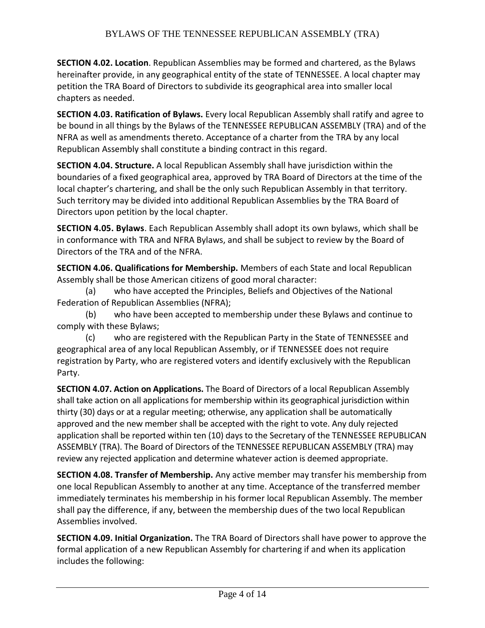**SECTION 4.02. Location**. Republican Assemblies may be formed and chartered, as the Bylaws hereinafter provide, in any geographical entity of the state of TENNESSEE. A local chapter may petition the TRA Board of Directors to subdivide its geographical area into smaller local chapters as needed.

**SECTION 4.03. Ratification of Bylaws.** Every local Republican Assembly shall ratify and agree to be bound in all things by the Bylaws of the TENNESSEE REPUBLICAN ASSEMBLY (TRA) and of the NFRA as well as amendments thereto. Acceptance of a charter from the TRA by any local Republican Assembly shall constitute a binding contract in this regard.

**SECTION 4.04. Structure.** A local Republican Assembly shall have jurisdiction within the boundaries of a fixed geographical area, approved by TRA Board of Directors at the time of the local chapter's chartering, and shall be the only such Republican Assembly in that territory. Such territory may be divided into additional Republican Assemblies by the TRA Board of Directors upon petition by the local chapter.

**SECTION 4.05. Bylaws**. Each Republican Assembly shall adopt its own bylaws, which shall be in conformance with TRA and NFRA Bylaws, and shall be subject to review by the Board of Directors of the TRA and of the NFRA.

**SECTION 4.06. Qualifications for Membership.** Members of each State and local Republican Assembly shall be those American citizens of good moral character:

(a) who have accepted the Principles, Beliefs and Objectives of the National Federation of Republican Assemblies (NFRA);

(b) who have been accepted to membership under these Bylaws and continue to comply with these Bylaws;

(c) who are registered with the Republican Party in the State of TENNESSEE and geographical area of any local Republican Assembly, or if TENNESSEE does not require registration by Party, who are registered voters and identify exclusively with the Republican Party.

**SECTION 4.07. Action on Applications.** The Board of Directors of a local Republican Assembly shall take action on all applications for membership within its geographical jurisdiction within thirty (30) days or at a regular meeting; otherwise, any application shall be automatically approved and the new member shall be accepted with the right to vote. Any duly rejected application shall be reported within ten (10) days to the Secretary of the TENNESSEE REPUBLICAN ASSEMBLY (TRA). The Board of Directors of the TENNESSEE REPUBLICAN ASSEMBLY (TRA) may review any rejected application and determine whatever action is deemed appropriate.

**SECTION 4.08. Transfer of Membership.** Any active member may transfer his membership from one local Republican Assembly to another at any time. Acceptance of the transferred member immediately terminates his membership in his former local Republican Assembly. The member shall pay the difference, if any, between the membership dues of the two local Republican Assemblies involved.

**SECTION 4.09. Initial Organization.** The TRA Board of Directors shall have power to approve the formal application of a new Republican Assembly for chartering if and when its application includes the following: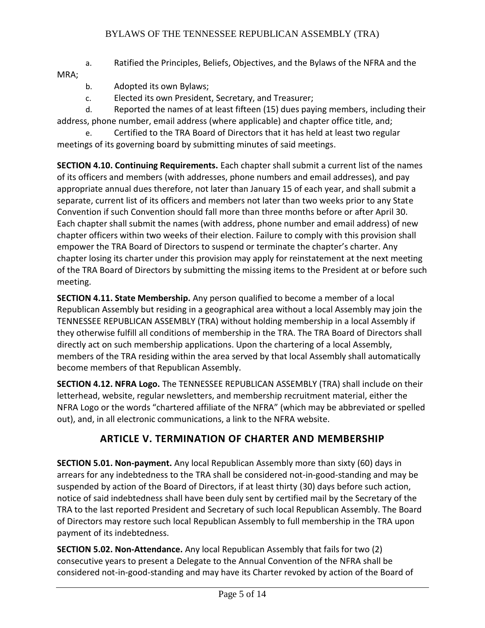a. Ratified the Principles, Beliefs, Objectives, and the Bylaws of the NFRA and the MRA;

- b. Adopted its own Bylaws;
- c. Elected its own President, Secretary, and Treasurer;

d. Reported the names of at least fifteen (15) dues paying members, including their address, phone number, email address (where applicable) and chapter office title, and;

e. Certified to the TRA Board of Directors that it has held at least two regular meetings of its governing board by submitting minutes of said meetings.

**SECTION 4.10. Continuing Requirements.** Each chapter shall submit a current list of the names of its officers and members (with addresses, phone numbers and email addresses), and pay appropriate annual dues therefore, not later than January 15 of each year, and shall submit a separate, current list of its officers and members not later than two weeks prior to any State Convention if such Convention should fall more than three months before or after April 30. Each chapter shall submit the names (with address, phone number and email address) of new chapter officers within two weeks of their election. Failure to comply with this provision shall empower the TRA Board of Directors to suspend or terminate the chapter's charter. Any chapter losing its charter under this provision may apply for reinstatement at the next meeting of the TRA Board of Directors by submitting the missing items to the President at or before such meeting.

**SECTION 4.11. State Membership.** Any person qualified to become a member of a local Republican Assembly but residing in a geographical area without a local Assembly may join the TENNESSEE REPUBLICAN ASSEMBLY (TRA) without holding membership in a local Assembly if they otherwise fulfill all conditions of membership in the TRA. The TRA Board of Directors shall directly act on such membership applications. Upon the chartering of a local Assembly, members of the TRA residing within the area served by that local Assembly shall automatically become members of that Republican Assembly.

**SECTION 4.12. NFRA Logo.** The TENNESSEE REPUBLICAN ASSEMBLY (TRA) shall include on their letterhead, website, regular newsletters, and membership recruitment material, either the NFRA Logo or the words "chartered affiliate of the NFRA" (which may be abbreviated or spelled out), and, in all electronic communications, a link to the NFRA website.

## **ARTICLE V. TERMINATION OF CHARTER AND MEMBERSHIP**

**SECTION 5.01. Non-payment.** Any local Republican Assembly more than sixty (60) days in arrears for any indebtedness to the TRA shall be considered not-in-good-standing and may be suspended by action of the Board of Directors, if at least thirty (30) days before such action, notice of said indebtedness shall have been duly sent by certified mail by the Secretary of the TRA to the last reported President and Secretary of such local Republican Assembly. The Board of Directors may restore such local Republican Assembly to full membership in the TRA upon payment of its indebtedness.

**SECTION 5.02. Non-Attendance.** Any local Republican Assembly that fails for two (2) consecutive years to present a Delegate to the Annual Convention of the NFRA shall be considered not-in-good-standing and may have its Charter revoked by action of the Board of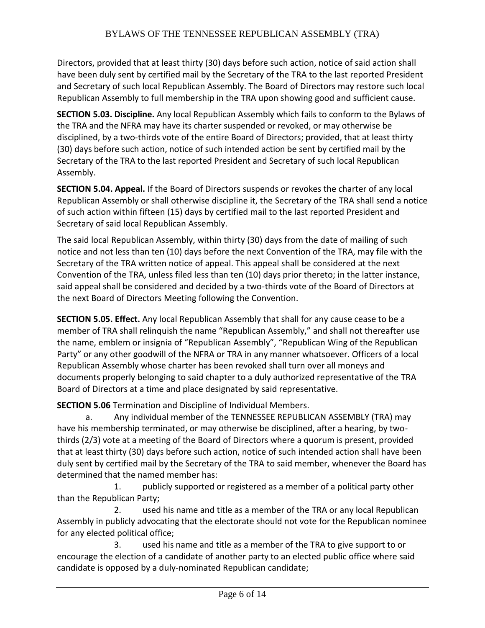Directors, provided that at least thirty (30) days before such action, notice of said action shall have been duly sent by certified mail by the Secretary of the TRA to the last reported President and Secretary of such local Republican Assembly. The Board of Directors may restore such local Republican Assembly to full membership in the TRA upon showing good and sufficient cause.

**SECTION 5.03. Discipline.** Any local Republican Assembly which fails to conform to the Bylaws of the TRA and the NFRA may have its charter suspended or revoked, or may otherwise be disciplined, by a two-thirds vote of the entire Board of Directors; provided, that at least thirty (30) days before such action, notice of such intended action be sent by certified mail by the Secretary of the TRA to the last reported President and Secretary of such local Republican Assembly.

**SECTION 5.04. Appeal.** If the Board of Directors suspends or revokes the charter of any local Republican Assembly or shall otherwise discipline it, the Secretary of the TRA shall send a notice of such action within fifteen (15) days by certified mail to the last reported President and Secretary of said local Republican Assembly.

The said local Republican Assembly, within thirty (30) days from the date of mailing of such notice and not less than ten (10) days before the next Convention of the TRA, may file with the Secretary of the TRA written notice of appeal. This appeal shall be considered at the next Convention of the TRA, unless filed less than ten (10) days prior thereto; in the latter instance, said appeal shall be considered and decided by a two-thirds vote of the Board of Directors at the next Board of Directors Meeting following the Convention.

**SECTION 5.05. Effect.** Any local Republican Assembly that shall for any cause cease to be a member of TRA shall relinquish the name "Republican Assembly," and shall not thereafter use the name, emblem or insignia of "Republican Assembly", "Republican Wing of the Republican Party" or any other goodwill of the NFRA or TRA in any manner whatsoever. Officers of a local Republican Assembly whose charter has been revoked shall turn over all moneys and documents properly belonging to said chapter to a duly authorized representative of the TRA Board of Directors at a time and place designated by said representative.

**SECTION 5.06** Termination and Discipline of Individual Members.

a. Any individual member of the TENNESSEE REPUBLICAN ASSEMBLY (TRA) may have his membership terminated, or may otherwise be disciplined, after a hearing, by twothirds (2/3) vote at a meeting of the Board of Directors where a quorum is present, provided that at least thirty (30) days before such action, notice of such intended action shall have been duly sent by certified mail by the Secretary of the TRA to said member, whenever the Board has determined that the named member has:

1. publicly supported or registered as a member of a political party other than the Republican Party;

2. used his name and title as a member of the TRA or any local Republican Assembly in publicly advocating that the electorate should not vote for the Republican nominee for any elected political office;

3. used his name and title as a member of the TRA to give support to or encourage the election of a candidate of another party to an elected public office where said candidate is opposed by a duly-nominated Republican candidate;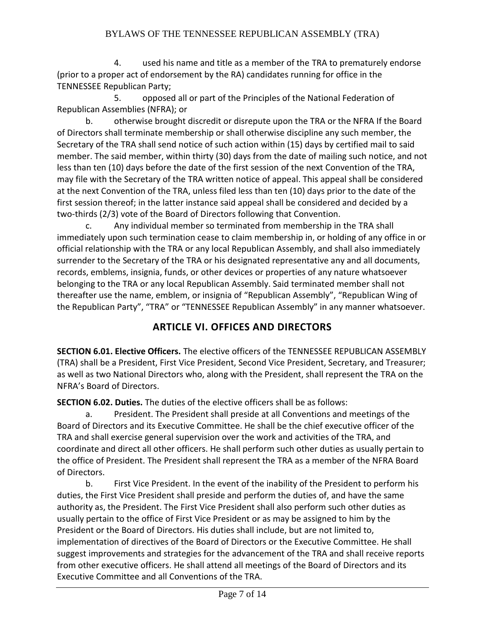4. used his name and title as a member of the TRA to prematurely endorse (prior to a proper act of endorsement by the RA) candidates running for office in the TENNESSEE Republican Party;

5. opposed all or part of the Principles of the National Federation of Republican Assemblies (NFRA); or

b. otherwise brought discredit or disrepute upon the TRA or the NFRA If the Board of Directors shall terminate membership or shall otherwise discipline any such member, the Secretary of the TRA shall send notice of such action within (15) days by certified mail to said member. The said member, within thirty (30) days from the date of mailing such notice, and not less than ten (10) days before the date of the first session of the next Convention of the TRA, may file with the Secretary of the TRA written notice of appeal. This appeal shall be considered at the next Convention of the TRA, unless filed less than ten (10) days prior to the date of the first session thereof; in the latter instance said appeal shall be considered and decided by a two-thirds (2/3) vote of the Board of Directors following that Convention.

c. Any individual member so terminated from membership in the TRA shall immediately upon such termination cease to claim membership in, or holding of any office in or official relationship with the TRA or any local Republican Assembly, and shall also immediately surrender to the Secretary of the TRA or his designated representative any and all documents, records, emblems, insignia, funds, or other devices or properties of any nature whatsoever belonging to the TRA or any local Republican Assembly. Said terminated member shall not thereafter use the name, emblem, or insignia of "Republican Assembly", "Republican Wing of the Republican Party", "TRA" or "TENNESSEE Republican Assembly" in any manner whatsoever.

## **ARTICLE VI. OFFICES AND DIRECTORS**

**SECTION 6.01. Elective Officers.** The elective officers of the TENNESSEE REPUBLICAN ASSEMBLY (TRA) shall be a President, First Vice President, Second Vice President, Secretary, and Treasurer; as well as two National Directors who, along with the President, shall represent the TRA on the NFRA's Board of Directors.

**SECTION 6.02. Duties.** The duties of the elective officers shall be as follows:

a. President. The President shall preside at all Conventions and meetings of the Board of Directors and its Executive Committee. He shall be the chief executive officer of the TRA and shall exercise general supervision over the work and activities of the TRA, and coordinate and direct all other officers. He shall perform such other duties as usually pertain to the office of President. The President shall represent the TRA as a member of the NFRA Board of Directors.

b. First Vice President. In the event of the inability of the President to perform his duties, the First Vice President shall preside and perform the duties of, and have the same authority as, the President. The First Vice President shall also perform such other duties as usually pertain to the office of First Vice President or as may be assigned to him by the President or the Board of Directors. His duties shall include, but are not limited to, implementation of directives of the Board of Directors or the Executive Committee. He shall suggest improvements and strategies for the advancement of the TRA and shall receive reports from other executive officers. He shall attend all meetings of the Board of Directors and its Executive Committee and all Conventions of the TRA.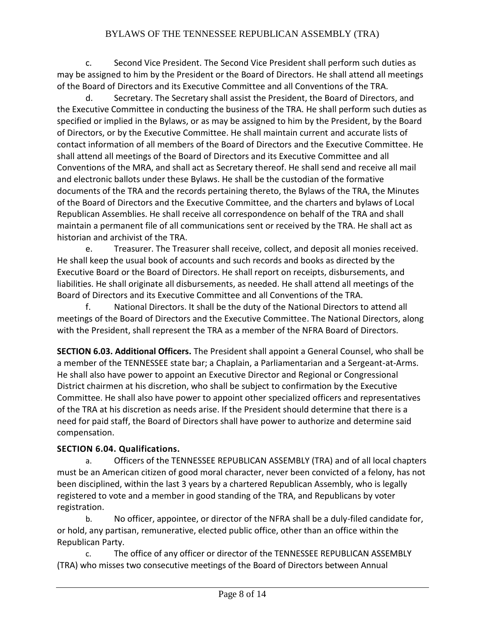c. Second Vice President. The Second Vice President shall perform such duties as may be assigned to him by the President or the Board of Directors. He shall attend all meetings of the Board of Directors and its Executive Committee and all Conventions of the TRA.

d. Secretary. The Secretary shall assist the President, the Board of Directors, and the Executive Committee in conducting the business of the TRA. He shall perform such duties as specified or implied in the Bylaws, or as may be assigned to him by the President, by the Board of Directors, or by the Executive Committee. He shall maintain current and accurate lists of contact information of all members of the Board of Directors and the Executive Committee. He shall attend all meetings of the Board of Directors and its Executive Committee and all Conventions of the MRA, and shall act as Secretary thereof. He shall send and receive all mail and electronic ballots under these Bylaws. He shall be the custodian of the formative documents of the TRA and the records pertaining thereto, the Bylaws of the TRA, the Minutes of the Board of Directors and the Executive Committee, and the charters and bylaws of Local Republican Assemblies. He shall receive all correspondence on behalf of the TRA and shall maintain a permanent file of all communications sent or received by the TRA. He shall act as historian and archivist of the TRA.

e. Treasurer. The Treasurer shall receive, collect, and deposit all monies received. He shall keep the usual book of accounts and such records and books as directed by the Executive Board or the Board of Directors. He shall report on receipts, disbursements, and liabilities. He shall originate all disbursements, as needed. He shall attend all meetings of the Board of Directors and its Executive Committee and all Conventions of the TRA.

f. National Directors. It shall be the duty of the National Directors to attend all meetings of the Board of Directors and the Executive Committee. The National Directors, along with the President, shall represent the TRA as a member of the NFRA Board of Directors.

**SECTION 6.03. Additional Officers.** The President shall appoint a General Counsel, who shall be a member of the TENNESSEE state bar; a Chaplain, a Parliamentarian and a Sergeant-at-Arms. He shall also have power to appoint an Executive Director and Regional or Congressional District chairmen at his discretion, who shall be subject to confirmation by the Executive Committee. He shall also have power to appoint other specialized officers and representatives of the TRA at his discretion as needs arise. If the President should determine that there is a need for paid staff, the Board of Directors shall have power to authorize and determine said compensation.

## **SECTION 6.04. Qualifications.**

a. Officers of the TENNESSEE REPUBLICAN ASSEMBLY (TRA) and of all local chapters must be an American citizen of good moral character, never been convicted of a felony, has not been disciplined, within the last 3 years by a chartered Republican Assembly, who is legally registered to vote and a member in good standing of the TRA, and Republicans by voter registration.

b. No officer, appointee, or director of the NFRA shall be a duly-filed candidate for, or hold, any partisan, remunerative, elected public office, other than an office within the Republican Party.

c. The office of any officer or director of the TENNESSEE REPUBLICAN ASSEMBLY (TRA) who misses two consecutive meetings of the Board of Directors between Annual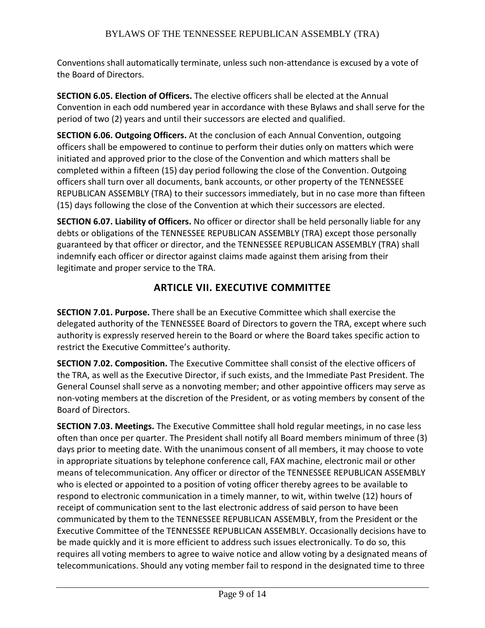Conventions shall automatically terminate, unless such non-attendance is excused by a vote of the Board of Directors.

**SECTION 6.05. Election of Officers.** The elective officers shall be elected at the Annual Convention in each odd numbered year in accordance with these Bylaws and shall serve for the period of two (2) years and until their successors are elected and qualified.

**SECTION 6.06. Outgoing Officers.** At the conclusion of each Annual Convention, outgoing officers shall be empowered to continue to perform their duties only on matters which were initiated and approved prior to the close of the Convention and which matters shall be completed within a fifteen (15) day period following the close of the Convention. Outgoing officers shall turn over all documents, bank accounts, or other property of the TENNESSEE REPUBLICAN ASSEMBLY (TRA) to their successors immediately, but in no case more than fifteen (15) days following the close of the Convention at which their successors are elected.

**SECTION 6.07. Liability of Officers.** No officer or director shall be held personally liable for any debts or obligations of the TENNESSEE REPUBLICAN ASSEMBLY (TRA) except those personally guaranteed by that officer or director, and the TENNESSEE REPUBLICAN ASSEMBLY (TRA) shall indemnify each officer or director against claims made against them arising from their legitimate and proper service to the TRA.

# **ARTICLE VII. EXECUTIVE COMMITTEE**

**SECTION 7.01. Purpose.** There shall be an Executive Committee which shall exercise the delegated authority of the TENNESSEE Board of Directors to govern the TRA, except where such authority is expressly reserved herein to the Board or where the Board takes specific action to restrict the Executive Committee's authority.

**SECTION 7.02. Composition.** The Executive Committee shall consist of the elective officers of the TRA, as well as the Executive Director, if such exists, and the Immediate Past President. The General Counsel shall serve as a nonvoting member; and other appointive officers may serve as non-voting members at the discretion of the President, or as voting members by consent of the Board of Directors.

**SECTION 7.03. Meetings.** The Executive Committee shall hold regular meetings, in no case less often than once per quarter. The President shall notify all Board members minimum of three (3) days prior to meeting date. With the unanimous consent of all members, it may choose to vote in appropriate situations by telephone conference call, FAX machine, electronic mail or other means of telecommunication. Any officer or director of the TENNESSEE REPUBLICAN ASSEMBLY who is elected or appointed to a position of voting officer thereby agrees to be available to respond to electronic communication in a timely manner, to wit, within twelve (12) hours of receipt of communication sent to the last electronic address of said person to have been communicated by them to the TENNESSEE REPUBLICAN ASSEMBLY, from the President or the Executive Committee of the TENNESSEE REPUBLICAN ASSEMBLY. Occasionally decisions have to be made quickly and it is more efficient to address such issues electronically. To do so, this requires all voting members to agree to waive notice and allow voting by a designated means of telecommunications. Should any voting member fail to respond in the designated time to three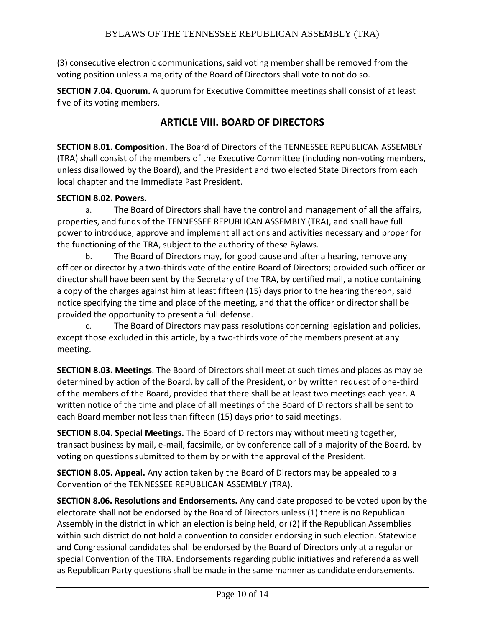(3) consecutive electronic communications, said voting member shall be removed from the voting position unless a majority of the Board of Directors shall vote to not do so.

**SECTION 7.04. Quorum.** A quorum for Executive Committee meetings shall consist of at least five of its voting members.

## **ARTICLE VIII. BOARD OF DIRECTORS**

**SECTION 8.01. Composition.** The Board of Directors of the TENNESSEE REPUBLICAN ASSEMBLY (TRA) shall consist of the members of the Executive Committee (including non-voting members, unless disallowed by the Board), and the President and two elected State Directors from each local chapter and the Immediate Past President.

#### **SECTION 8.02. Powers.**

a. The Board of Directors shall have the control and management of all the affairs, properties, and funds of the TENNESSEE REPUBLICAN ASSEMBLY (TRA), and shall have full power to introduce, approve and implement all actions and activities necessary and proper for the functioning of the TRA, subject to the authority of these Bylaws.

b. The Board of Directors may, for good cause and after a hearing, remove any officer or director by a two-thirds vote of the entire Board of Directors; provided such officer or director shall have been sent by the Secretary of the TRA, by certified mail, a notice containing a copy of the charges against him at least fifteen (15) days prior to the hearing thereon, said notice specifying the time and place of the meeting, and that the officer or director shall be provided the opportunity to present a full defense.

c. The Board of Directors may pass resolutions concerning legislation and policies, except those excluded in this article, by a two-thirds vote of the members present at any meeting.

**SECTION 8.03. Meetings**. The Board of Directors shall meet at such times and places as may be determined by action of the Board, by call of the President, or by written request of one-third of the members of the Board, provided that there shall be at least two meetings each year. A written notice of the time and place of all meetings of the Board of Directors shall be sent to each Board member not less than fifteen (15) days prior to said meetings.

**SECTION 8.04. Special Meetings.** The Board of Directors may without meeting together, transact business by mail, e-mail, facsimile, or by conference call of a majority of the Board, by voting on questions submitted to them by or with the approval of the President.

**SECTION 8.05. Appeal.** Any action taken by the Board of Directors may be appealed to a Convention of the TENNESSEE REPUBLICAN ASSEMBLY (TRA).

**SECTION 8.06. Resolutions and Endorsements.** Any candidate proposed to be voted upon by the electorate shall not be endorsed by the Board of Directors unless (1) there is no Republican Assembly in the district in which an election is being held, or (2) if the Republican Assemblies within such district do not hold a convention to consider endorsing in such election. Statewide and Congressional candidates shall be endorsed by the Board of Directors only at a regular or special Convention of the TRA. Endorsements regarding public initiatives and referenda as well as Republican Party questions shall be made in the same manner as candidate endorsements.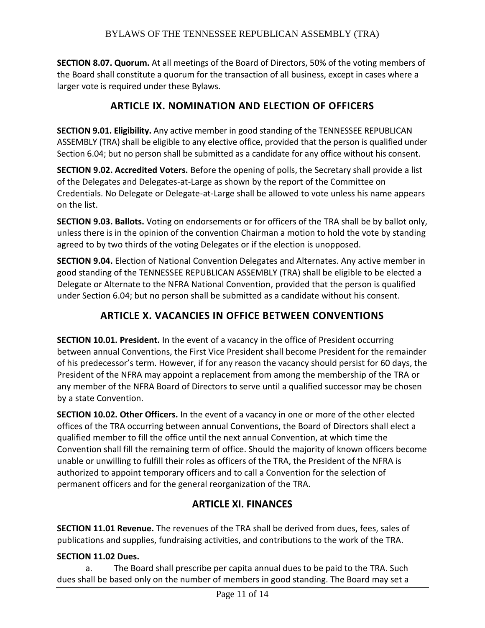**SECTION 8.07. Quorum.** At all meetings of the Board of Directors, 50% of the voting members of the Board shall constitute a quorum for the transaction of all business, except in cases where a larger vote is required under these Bylaws.

## **ARTICLE IX. NOMINATION AND ELECTION OF OFFICERS**

**SECTION 9.01. Eligibility.** Any active member in good standing of the TENNESSEE REPUBLICAN ASSEMBLY (TRA) shall be eligible to any elective office, provided that the person is qualified under Section 6.04; but no person shall be submitted as a candidate for any office without his consent.

**SECTION 9.02. Accredited Voters.** Before the opening of polls, the Secretary shall provide a list of the Delegates and Delegates-at-Large as shown by the report of the Committee on Credentials. No Delegate or Delegate-at-Large shall be allowed to vote unless his name appears on the list.

**SECTION 9.03. Ballots.** Voting on endorsements or for officers of the TRA shall be by ballot only, unless there is in the opinion of the convention Chairman a motion to hold the vote by standing agreed to by two thirds of the voting Delegates or if the election is unopposed.

**SECTION 9.04.** Election of National Convention Delegates and Alternates. Any active member in good standing of the TENNESSEE REPUBLICAN ASSEMBLY (TRA) shall be eligible to be elected a Delegate or Alternate to the NFRA National Convention, provided that the person is qualified under Section 6.04; but no person shall be submitted as a candidate without his consent.

# **ARTICLE X. VACANCIES IN OFFICE BETWEEN CONVENTIONS**

**SECTION 10.01. President.** In the event of a vacancy in the office of President occurring between annual Conventions, the First Vice President shall become President for the remainder of his predecessor's term. However, if for any reason the vacancy should persist for 60 days, the President of the NFRA may appoint a replacement from among the membership of the TRA or any member of the NFRA Board of Directors to serve until a qualified successor may be chosen by a state Convention.

**SECTION 10.02. Other Officers.** In the event of a vacancy in one or more of the other elected offices of the TRA occurring between annual Conventions, the Board of Directors shall elect a qualified member to fill the office until the next annual Convention, at which time the Convention shall fill the remaining term of office. Should the majority of known officers become unable or unwilling to fulfill their roles as officers of the TRA, the President of the NFRA is authorized to appoint temporary officers and to call a Convention for the selection of permanent officers and for the general reorganization of the TRA.

## **ARTICLE XI. FINANCES**

**SECTION 11.01 Revenue.** The revenues of the TRA shall be derived from dues, fees, sales of publications and supplies, fundraising activities, and contributions to the work of the TRA.

#### **SECTION 11.02 Dues.**

a. The Board shall prescribe per capita annual dues to be paid to the TRA. Such dues shall be based only on the number of members in good standing. The Board may set a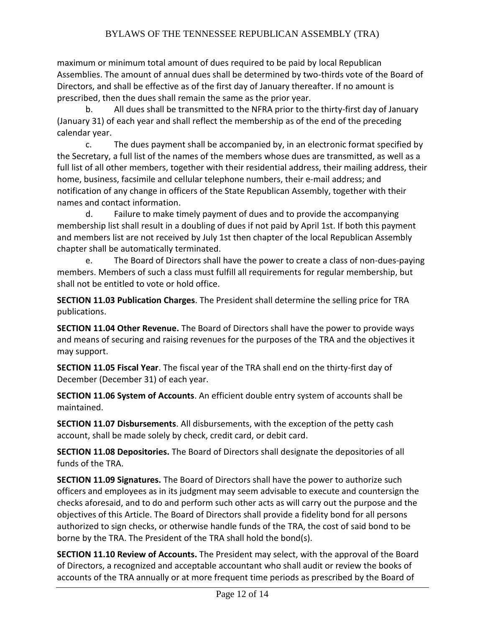maximum or minimum total amount of dues required to be paid by local Republican Assemblies. The amount of annual dues shall be determined by two-thirds vote of the Board of Directors, and shall be effective as of the first day of January thereafter. If no amount is prescribed, then the dues shall remain the same as the prior year.

b. All dues shall be transmitted to the NFRA prior to the thirty-first day of January (January 31) of each year and shall reflect the membership as of the end of the preceding calendar year.

c. The dues payment shall be accompanied by, in an electronic format specified by the Secretary, a full list of the names of the members whose dues are transmitted, as well as a full list of all other members, together with their residential address, their mailing address, their home, business, facsimile and cellular telephone numbers, their e-mail address; and notification of any change in officers of the State Republican Assembly, together with their names and contact information.

d. Failure to make timely payment of dues and to provide the accompanying membership list shall result in a doubling of dues if not paid by April 1st. If both this payment and members list are not received by July 1st then chapter of the local Republican Assembly chapter shall be automatically terminated.

e. The Board of Directors shall have the power to create a class of non-dues-paying members. Members of such a class must fulfill all requirements for regular membership, but shall not be entitled to vote or hold office.

**SECTION 11.03 Publication Charges**. The President shall determine the selling price for TRA publications.

**SECTION 11.04 Other Revenue.** The Board of Directors shall have the power to provide ways and means of securing and raising revenues for the purposes of the TRA and the objectives it may support.

**SECTION 11.05 Fiscal Year**. The fiscal year of the TRA shall end on the thirty-first day of December (December 31) of each year.

**SECTION 11.06 System of Accounts**. An efficient double entry system of accounts shall be maintained.

**SECTION 11.07 Disbursements**. All disbursements, with the exception of the petty cash account, shall be made solely by check, credit card, or debit card.

**SECTION 11.08 Depositories.** The Board of Directors shall designate the depositories of all funds of the TRA.

**SECTION 11.09 Signatures.** The Board of Directors shall have the power to authorize such officers and employees as in its judgment may seem advisable to execute and countersign the checks aforesaid, and to do and perform such other acts as will carry out the purpose and the objectives of this Article. The Board of Directors shall provide a fidelity bond for all persons authorized to sign checks, or otherwise handle funds of the TRA, the cost of said bond to be borne by the TRA. The President of the TRA shall hold the bond(s).

**SECTION 11.10 Review of Accounts.** The President may select, with the approval of the Board of Directors, a recognized and acceptable accountant who shall audit or review the books of accounts of the TRA annually or at more frequent time periods as prescribed by the Board of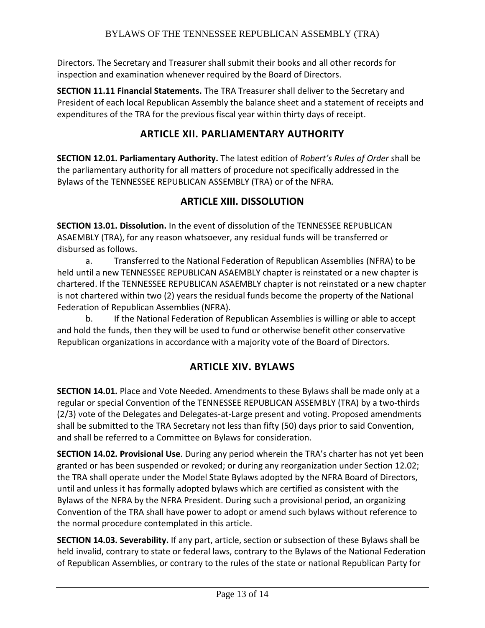Directors. The Secretary and Treasurer shall submit their books and all other records for inspection and examination whenever required by the Board of Directors.

**SECTION 11.11 Financial Statements.** The TRA Treasurer shall deliver to the Secretary and President of each local Republican Assembly the balance sheet and a statement of receipts and expenditures of the TRA for the previous fiscal year within thirty days of receipt.

## **ARTICLE XII. PARLIAMENTARY AUTHORITY**

**SECTION 12.01. Parliamentary Authority.** The latest edition of *Robert's Rules of Order* shall be the parliamentary authority for all matters of procedure not specifically addressed in the Bylaws of the TENNESSEE REPUBLICAN ASSEMBLY (TRA) or of the NFRA.

## **ARTICLE XIII. DISSOLUTION**

**SECTION 13.01. Dissolution.** In the event of dissolution of the TENNESSEE REPUBLICAN ASAEMBLY (TRA), for any reason whatsoever, any residual funds will be transferred or disbursed as follows.

a. Transferred to the National Federation of Republican Assemblies (NFRA) to be held until a new TENNESSEE REPUBLICAN ASAEMBLY chapter is reinstated or a new chapter is chartered. If the TENNESSEE REPUBLICAN ASAEMBLY chapter is not reinstated or a new chapter is not chartered within two (2) years the residual funds become the property of the National Federation of Republican Assemblies (NFRA).

b. If the National Federation of Republican Assemblies is willing or able to accept and hold the funds, then they will be used to fund or otherwise benefit other conservative Republican organizations in accordance with a majority vote of the Board of Directors.

## **ARTICLE XIV. BYLAWS**

**SECTION 14.01.** Place and Vote Needed. Amendments to these Bylaws shall be made only at a regular or special Convention of the TENNESSEE REPUBLICAN ASSEMBLY (TRA) by a two-thirds (2/3) vote of the Delegates and Delegates-at-Large present and voting. Proposed amendments shall be submitted to the TRA Secretary not less than fifty (50) days prior to said Convention, and shall be referred to a Committee on Bylaws for consideration.

**SECTION 14.02. Provisional Use**. During any period wherein the TRA's charter has not yet been granted or has been suspended or revoked; or during any reorganization under Section 12.02; the TRA shall operate under the Model State Bylaws adopted by the NFRA Board of Directors, until and unless it has formally adopted bylaws which are certified as consistent with the Bylaws of the NFRA by the NFRA President. During such a provisional period, an organizing Convention of the TRA shall have power to adopt or amend such bylaws without reference to the normal procedure contemplated in this article.

**SECTION 14.03. Severability.** If any part, article, section or subsection of these Bylaws shall be held invalid, contrary to state or federal laws, contrary to the Bylaws of the National Federation of Republican Assemblies, or contrary to the rules of the state or national Republican Party for